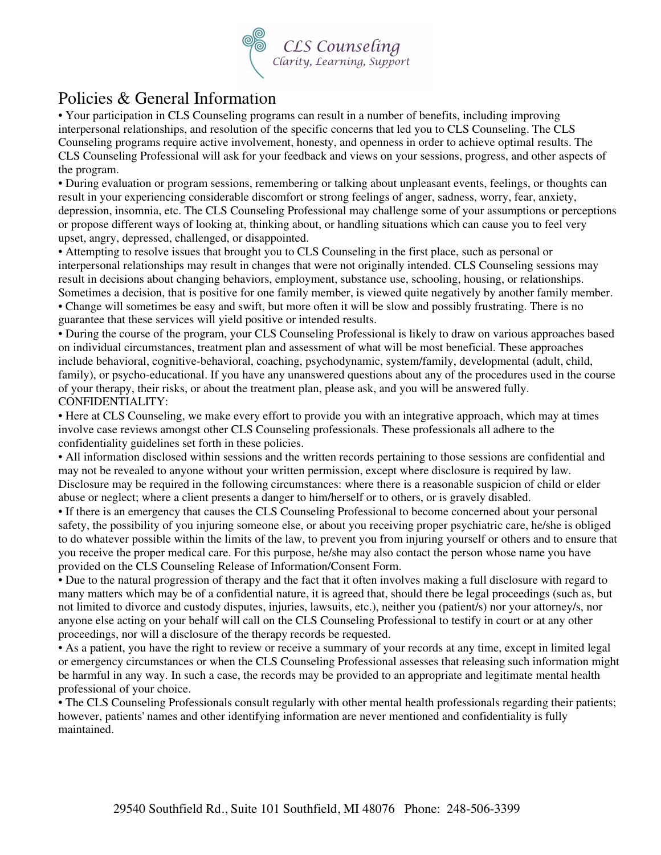

# Policies & General Information

• Your participation in CLS Counseling programs can result in a number of benefits, including improving interpersonal relationships, and resolution of the specific concerns that led you to CLS Counseling. The CLS Counseling programs require active involvement, honesty, and openness in order to achieve optimal results. The CLS Counseling Professional will ask for your feedback and views on your sessions, progress, and other aspects of the program.

• During evaluation or program sessions, remembering or talking about unpleasant events, feelings, or thoughts can result in your experiencing considerable discomfort or strong feelings of anger, sadness, worry, fear, anxiety, depression, insomnia, etc. The CLS Counseling Professional may challenge some of your assumptions or perceptions or propose different ways of looking at, thinking about, or handling situations which can cause you to feel very upset, angry, depressed, challenged, or disappointed.

• Attempting to resolve issues that brought you to CLS Counseling in the first place, such as personal or interpersonal relationships may result in changes that were not originally intended. CLS Counseling sessions may result in decisions about changing behaviors, employment, substance use, schooling, housing, or relationships. Sometimes a decision, that is positive for one family member, is viewed quite negatively by another family member. • Change will sometimes be easy and swift, but more often it will be slow and possibly frustrating. There is no

guarantee that these services will yield positive or intended results.

• During the course of the program, your CLS Counseling Professional is likely to draw on various approaches based on individual circumstances, treatment plan and assessment of what will be most beneficial. These approaches include behavioral, cognitive-behavioral, coaching, psychodynamic, system/family, developmental (adult, child, family), or psycho-educational. If you have any unanswered questions about any of the procedures used in the course of your therapy, their risks, or about the treatment plan, please ask, and you will be answered fully. CONFIDENTIALITY:

• Here at CLS Counseling, we make every effort to provide you with an integrative approach, which may at times involve case reviews amongst other CLS Counseling professionals. These professionals all adhere to the confidentiality guidelines set forth in these policies.

• All information disclosed within sessions and the written records pertaining to those sessions are confidential and may not be revealed to anyone without your written permission, except where disclosure is required by law. Disclosure may be required in the following circumstances: where there is a reasonable suspicion of child or elder abuse or neglect; where a client presents a danger to him/herself or to others, or is gravely disabled.

• If there is an emergency that causes the CLS Counseling Professional to become concerned about your personal safety, the possibility of you injuring someone else, or about you receiving proper psychiatric care, he/she is obliged to do whatever possible within the limits of the law, to prevent you from injuring yourself or others and to ensure that you receive the proper medical care. For this purpose, he/she may also contact the person whose name you have provided on the CLS Counseling Release of Information/Consent Form.

• Due to the natural progression of therapy and the fact that it often involves making a full disclosure with regard to many matters which may be of a confidential nature, it is agreed that, should there be legal proceedings (such as, but not limited to divorce and custody disputes, injuries, lawsuits, etc.), neither you (patient/s) nor your attorney/s, nor anyone else acting on your behalf will call on the CLS Counseling Professional to testify in court or at any other proceedings, nor will a disclosure of the therapy records be requested.

• As a patient, you have the right to review or receive a summary of your records at any time, except in limited legal or emergency circumstances or when the CLS Counseling Professional assesses that releasing such information might be harmful in any way. In such a case, the records may be provided to an appropriate and legitimate mental health professional of your choice.

• The CLS Counseling Professionals consult regularly with other mental health professionals regarding their patients; however, patients' names and other identifying information are never mentioned and confidentiality is fully maintained.